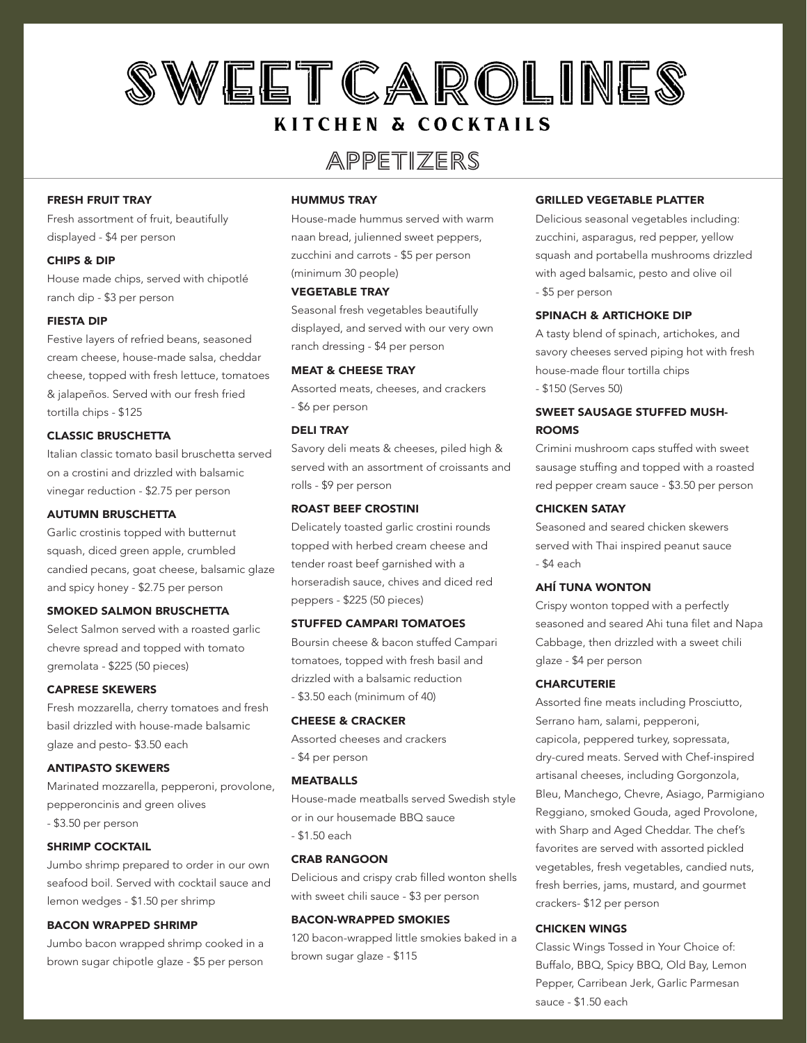## SWEETCAROLINES **KITCHEN & COCKTAILS**

### Appetizers

#### FRESH FRUIT TRAY

Fresh assortment of fruit, beautifully displayed - \$4 per person

#### CHIPS & DIP

House made chips, served with chipotlé ranch dip - \$3 per person

#### FIESTA DIP

Festive layers of refried beans, seasoned cream cheese, house-made salsa, cheddar cheese, topped with fresh lettuce, tomatoes & jalapeños. Served with our fresh fried tortilla chips - \$125

#### CLASSIC BRUSCHETTA

Italian classic tomato basil bruschetta served on a crostini and drizzled with balsamic vinegar reduction - \$2.75 per person

#### AUTUMN BRUSCHETTA

Garlic crostinis topped with butternut squash, diced green apple, crumbled candied pecans, goat cheese, balsamic glaze and spicy honey - \$2.75 per person

#### SMOKED SALMON BRUSCHETTA

Select Salmon served with a roasted garlic chevre spread and topped with tomato gremolata - \$225 (50 pieces)

#### CAPRESE SKEWERS

Fresh mozzarella, cherry tomatoes and fresh basil drizzled with house-made balsamic glaze and pesto- \$3.50 each

#### ANTIPASTO SKEWERS

Marinated mozzarella, pepperoni, provolone, pepperoncinis and green olives - \$3.50 per person

#### SHRIMP COCKTAIL

Jumbo shrimp prepared to order in our own seafood boil. Served with cocktail sauce and lemon wedges - \$1.50 per shrimp

#### BACON WRAPPED SHRIMP

Jumbo bacon wrapped shrimp cooked in a brown sugar chipotle glaze - \$5 per person

#### HUMMUS TRAY

House-made hummus served with warm naan bread, julienned sweet peppers, zucchini and carrots - \$5 per person (minimum 30 people)

#### VEGETABLE TRAY

Seasonal fresh vegetables beautifully displayed, and served with our very own ranch dressing - \$4 per person

#### MEAT & CHEESE TRAY

Assorted meats, cheeses, and crackers - \$6 per person

#### DELI TRAY

Savory deli meats & cheeses, piled high & served with an assortment of croissants and rolls - \$9 per person

#### ROAST BEEF CROSTINI

Delicately toasted garlic crostini rounds topped with herbed cream cheese and tender roast beef garnished with a horseradish sauce, chives and diced red peppers - \$225 (50 pieces)

#### STUFFED CAMPARI TOMATOES

Boursin cheese & bacon stuffed Campari tomatoes, topped with fresh basil and drizzled with a balsamic reduction - \$3.50 each (minimum of 40)

#### CHEESE & CRACKER

Assorted cheeses and crackers - \$4 per person

#### MEATBALLS

House-made meatballs served Swedish style or in our housemade BBQ sauce - \$1.50 each

#### CRAB RANGOON

Delicious and crispy crab filled wonton shells with sweet chili sauce - \$3 per person

#### BACON-WRAPPED SMOKIES

120 bacon-wrapped little smokies baked in a brown sugar glaze - \$115

#### GRILLED VEGETABLE PLATTER

Delicious seasonal vegetables including: zucchini, asparagus, red pepper, yellow squash and portabella mushrooms drizzled with aged balsamic, pesto and olive oil - \$5 per person

#### SPINACH & ARTICHOKE DIP

A tasty blend of spinach, artichokes, and savory cheeses served piping hot with fresh house-made flour tortilla chips - \$150 (Serves 50)

#### SWEET SAUSAGE STUFFED MUSH-ROOMS

Crimini mushroom caps stuffed with sweet sausage stuffing and topped with a roasted red pepper cream sauce - \$3.50 per person

#### CHICKEN SATAY

Seasoned and seared chicken skewers served with Thai inspired peanut sauce - \$4 each

#### AHÍ TUNA WONTON

Crispy wonton topped with a perfectly seasoned and seared Ahi tuna filet and Napa Cabbage, then drizzled with a sweet chili glaze - \$4 per person

#### **CHARCUTERIE**

Assorted fine meats including Prosciutto, Serrano ham, salami, pepperoni, capicola, peppered turkey, sopressata, dry-cured meats. Served with Chef-inspired artisanal cheeses, including Gorgonzola, Bleu, Manchego, Chevre, Asiago, Parmigiano Reggiano, smoked Gouda, aged Provolone, with Sharp and Aged Cheddar. The chef's favorites are served with assorted pickled vegetables, fresh vegetables, candied nuts, fresh berries, jams, mustard, and gourmet crackers- \$12 per person

#### CHICKEN WINGS

Classic Wings Tossed in Your Choice of: Buffalo, BBQ, Spicy BBQ, Old Bay, Lemon Pepper, Carribean Jerk, Garlic Parmesan sauce - \$1.50 each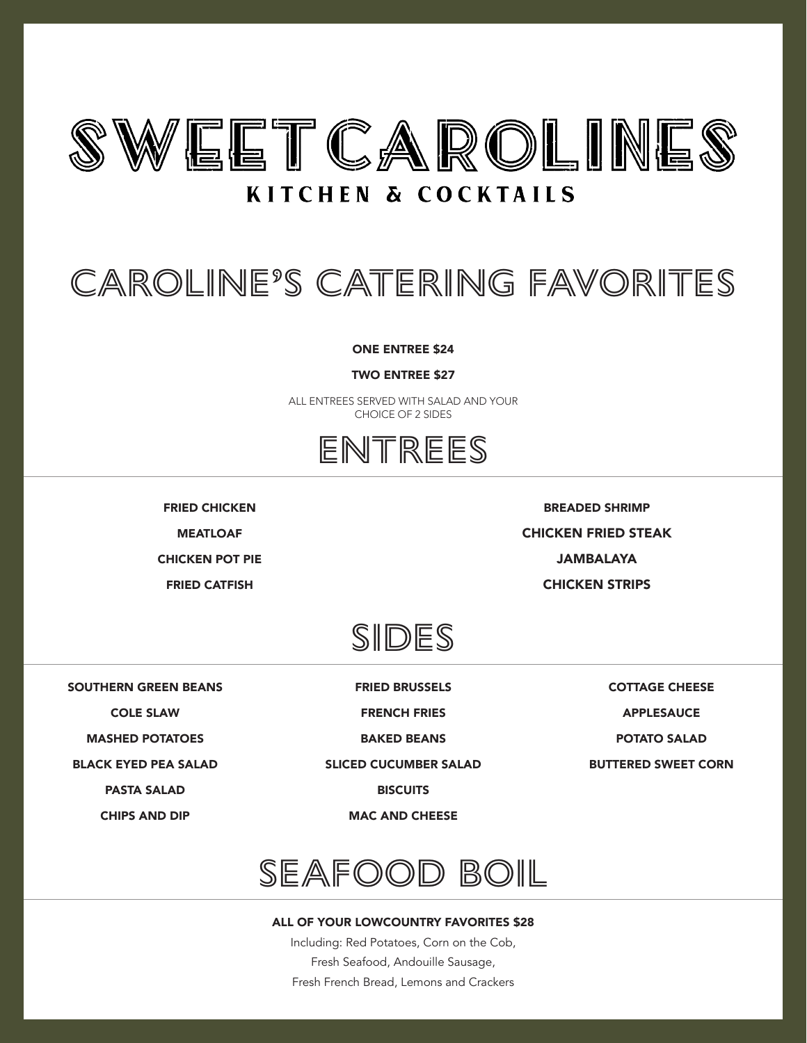

### **KITCHEN & COCKTAILS**

# Caroline's Catering Favorites

ONE ENTREE \$24

TWO ENTREE \$27

ALL ENTREES SERVED WITH SALAD AND YOUR CHOICE OF 2 SIDES



FRIED CHICKEN MEATLOAF

CHICKEN POT PIE

FRIED CATFISH

BREADED SHRIMP CHICKEN FRIED STEAK JAMBALAYA

CHICKEN STRIPS



SOUTHERN GREEN BEANS

COLE SLAW

MASHED POTATOES

BLACK EYED PEA SALAD

PASTA SALAD

CHIPS AND DIP

FRIED BRUSSELS

FRENCH FRIES

BAKED BEANS

SLICED CUCUMBER SALAD

**BISCUITS** 

MAC AND CHEESE

COTTAGE CHEESE APPLESAUCE

POTATO SALAD

BUTTERED SWEET CORN



#### ALL OF YOUR LOWCOUNTRY FAVORITES \$28

Including: Red Potatoes, Corn on the Cob, Fresh Seafood, Andouille Sausage, Fresh French Bread, Lemons and Crackers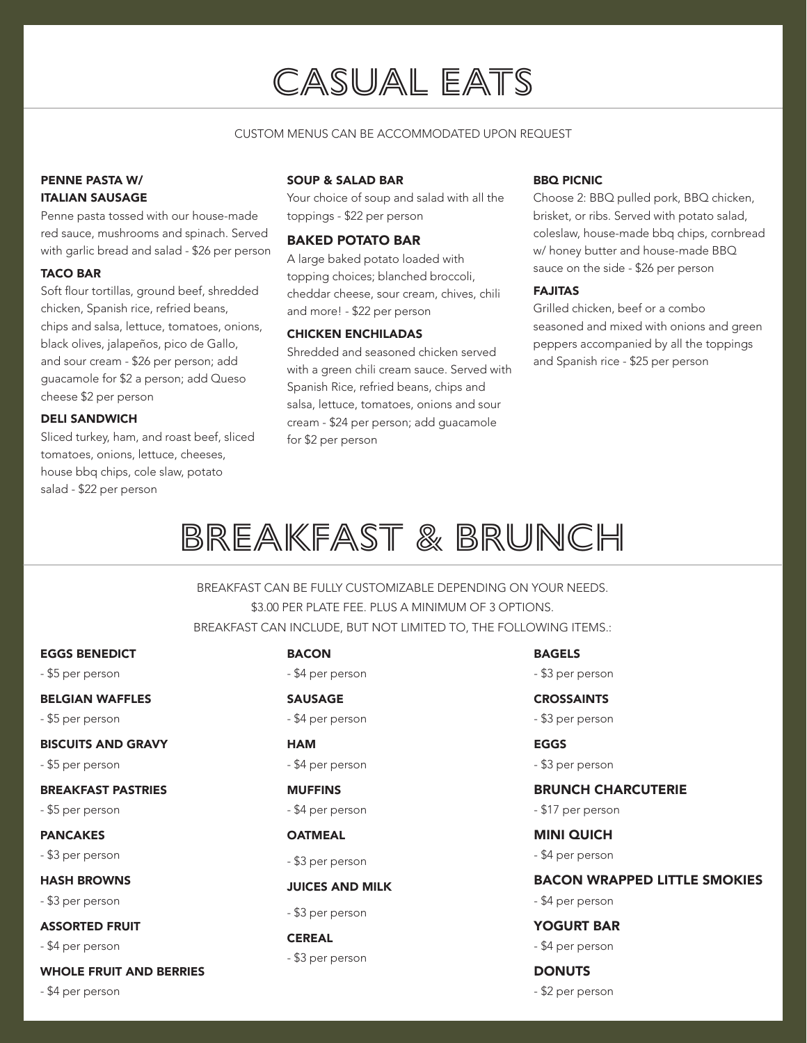## CASUAL EATS

#### CUSTOM MENUS CAN BE ACCOMMODATED UPON REQUEST

#### PENNE PASTA W/ ITALIAN SAUSAGE

Penne pasta tossed with our house-made red sauce, mushrooms and spinach. Served with garlic bread and salad - \$26 per person

#### TACO BAR

Soft flour tortillas, ground beef, shredded chicken, Spanish rice, refried beans, chips and salsa, lettuce, tomatoes, onions, black olives, jalapeños, pico de Gallo, and sour cream - \$26 per person; add guacamole for \$2 a person; add Queso cheese \$2 per person

#### DELI SANDWICH

Sliced turkey, ham, and roast beef, sliced tomatoes, onions, lettuce, cheeses, house bbq chips, cole slaw, potato salad - \$22 per person

#### SOUP & SALAD BAR

Your choice of soup and salad with all the toppings - \$22 per person

#### BAKED POTATO BAR

A large baked potato loaded with topping choices; blanched broccoli, cheddar cheese, sour cream, chives, chili and more! - \$22 per person

#### CHICKEN ENCHILADAS

Shredded and seasoned chicken served with a green chili cream sauce. Served with Spanish Rice, refried beans, chips and salsa, lettuce, tomatoes, onions and sour cream - \$24 per person; add guacamole for \$2 per person

#### BBQ PICNIC

Choose 2: BBQ pulled pork, BBQ chicken, brisket, or ribs. Served with potato salad, coleslaw, house-made bbq chips, cornbread w/ honey butter and house-made BBQ sauce on the side - \$26 per person

#### FAJITAS

Grilled chicken, beef or a combo seasoned and mixed with onions and green peppers accompanied by all the toppings and Spanish rice - \$25 per person

# Breakfast & BRUNCH

BREAKFAST CAN BE FULLY CUSTOMIZABLE DEPENDING ON YOUR NEEDS. \$3.00 PER PLATE FEE. PLUS A MINIMUM OF 3 OPTIONS. BREAKFAST CAN INCLUDE, BUT NOT LIMITED TO, THE FOLLOWING ITEMS.:

#### EGGS BENEDICT

- \$5 per person

#### BELGIAN WAFFLES

- \$5 per person

#### BISCUITS AND GRAVY

- \$5 per person

#### BREAKFAST PASTRIES

- \$5 per person

#### PANCAKES

- \$3 per person

#### HASH BROWNS

- \$3 per person

#### ASSORTED FRUIT

- \$4 per person

#### WHOLE FRUIT AND BERRIES

- \$4 per person

#### **BACON**

- \$4 per person

#### SAUSAGE

- \$4 per person

#### HAM - \$4 per person

#### **MUFFINS**

- \$4 per person

#### **OATMEAL**

- \$3 per person

#### JUICES AND MILK

#### - \$3 per person

#### CEREAL

- \$3 per person

### BAGELS

- \$3 per person

#### **CROSSAINTS**

- \$3 per person

#### EGGS

- \$3 per person

#### BRUNCH CHARCUTERIE

- \$17 per person

#### MINI QUICH

- \$4 per person

#### BACON WRAPPED LITTLE SMOKIES

- \$4 per person

#### YOGURT BAR

- \$4 per person
- **DONUTS** - \$2 per person